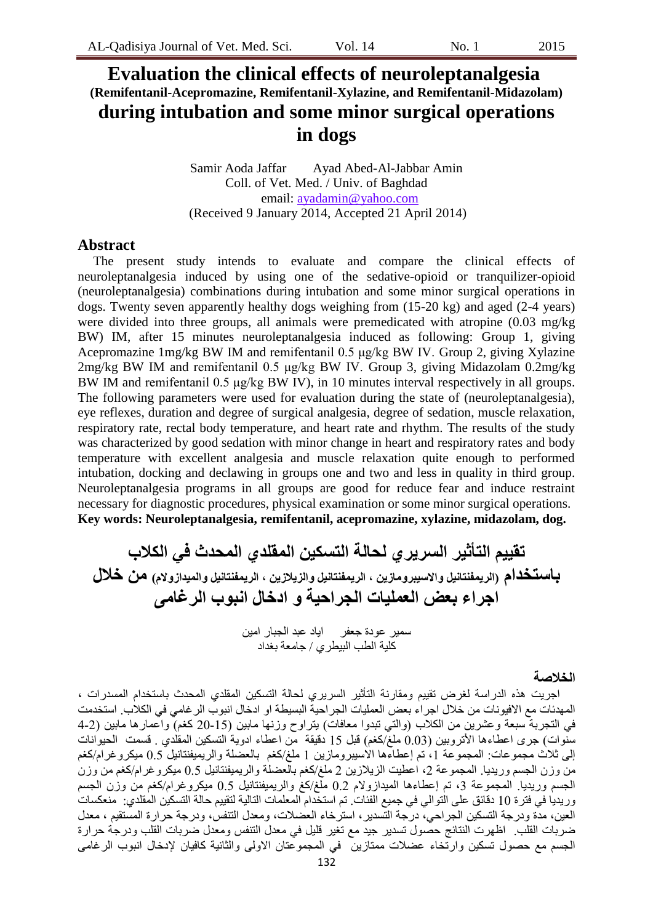# **Evaluation the clinical effects of neuroleptanalgesia (Remifentanil-Acepromazine, Remifentanil-Xylazine, and Remifentanil-Midazolam) during intubation and some minor surgical operations in dogs**

Samir Aoda Jaffar Ayad Abed-Al-Jabbar Amin Coll. of Vet. Med. / Univ. of Baghdad email: ayadamin@yahoo.com (Received 9 January 2014, Accepted 21 April 2014)

## **Abstract**

The present study intends to evaluate and compare the clinical effects of neuroleptanalgesia induced by using one of the sedative-opioid or tranquilizer-opioid (neuroleptanalgesia) combinations during intubation and some minor surgical operations in dogs. Twenty seven apparently healthy dogs weighing from (15-20 kg) and aged (2-4 years) were divided into three groups, all animals were premedicated with atropine (0.03 mg/kg BW) IM, after 15 minutes neuroleptanalgesia induced as following: Group 1, giving Acepromazine 1mg/kg BW IM and remifentanil 0.5 μg/kg BW IV. Group 2, giving Xylazine 2mg/kg BW IM and remifentanil 0.5 μg/kg BW IV. Group 3, giving Midazolam 0.2mg/kg BW IM and remifentanil 0.5 μg/kg BW IV), in 10 minutes interval respectively in all groups. The following parameters were used for evaluation during the state of (neuroleptanalgesia), eye reflexes, duration and degree of surgical analgesia, degree of sedation, muscle relaxation, respiratory rate, rectal body temperature, and heart rate and rhythm. The results of the study was characterized by good sedation with minor change in heart and respiratory rates and body temperature with excellent analgesia and muscle relaxation quite enough to performed intubation, docking and declawing in groups one and two and less in quality in third group. Neuroleptanalgesia programs in all groups are good for reduce fear and induce restraint necessary for diagnostic procedures, physical examination or some minor surgical operations. **Key words: Neuroleptanalgesia, remifentanil, acepromazine, xylazine, midazolam, dog.**

**تقٍٍى انتأثٍر انسرٌري نحانة انتسكٍن انًقهذي انًحذث فً انكالب باستخذاو )انرًٌفنتانٍم واالسٍبرويازٌن ، انرًٌفنتانٍم وانسٌالزٌن ، انرًٌفنتانٍم وانًٍذازوالو( ين خالل اجراء بعض انعًهٍات انجراحٍة و ادخال انبوب انرغايى**

سمير عودة جعفر اياد عبد الجبار امين كلية الطب البيطري / جامعة بغداد

#### **انخالصة**

اجريت هذِ الدراسة لغرض نقيبِم ومقارنة التأثير السريري لحالة النسكين المقلدي المحدث باستخدام المسدرات ، المهدئات مع الافيونات من خلال اجراء بعض العمليات الجراحية البسيطة او ادخال انبوب الر غامي في الكلاب. استخدمت في النجربة سبعة وعشرين من الكلاب (والتي تبدوا معافات) بِتراوح وزنـها مابين (15-20 كغم) واعمارها مابين (2-4 سُنُوات) جزى اعطاءها الأنزوبين (0.03 ملغ/كغم) قبل 15 دقيقة من اعطاء ادوية التسكين المقلَّدي . قسمت الحيوانات إلى ثلاث مجموعات: المجموعة 1، تم إعطاءها الاسيبرومازين 1 ملغ/كغم بالعضلة والريميفنتانيل 0.5 ميكروغرام/كغم من وزن الجسم وريديا. المجموعة 2، اعطيت الزيلازين 2 ملغ/كغم بالعضلة والريميفنتانيل 0.5 ميكروغرام/كغم من وزن الجسم وريديا. المجموعة 3، تم إعطاءها الميدازولام 0.2 ملَّغ/كغ والريميفنتانيل 0.5 ميكروغرام/كغم من وزن الجسم وريديا في فنزة 10 دقائق على النوالي في جميع الفئات. تم استخدام المعلمات النالية لنقييم حالة النسكين المقلدى: منعكسات العين، مدة ودرجة التسكين الجراحي، درجة التسدير، استرخاء العضلات، ومعدل التنفس، ودرجة حرارة المستقيم ، معدل ضربات القلب ِ اظهرت النُنائج حصول تُسدير جيد مع تغير قليل في معدل الننفس ومعدل ضربات القلب ودرجة حرارة الجسم مع حصول تسكين وارتخاء عضلات ممتازين ٍ في المجموعتان الاولى والثانية كافيان لإدخال انبوب الرغامي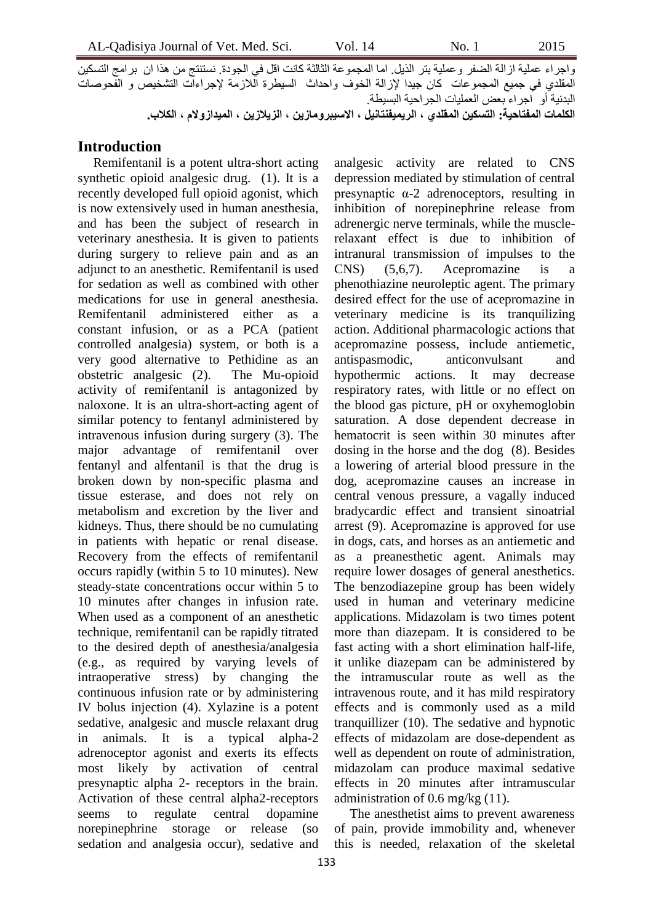واجراء عملية از الـة الضفر وعملية بتر الذيل. اما المجموعة الثالثة كانت اقل في الجودة. نستنتج من هذا ان بر امج التسكين المقلدي في جميع المجموعات كان جيدا لإزالة الخوف واحداث السيطرة اللازمة لإجراءات التشخيص و الفحوصات البدنيةَ أو ٱجراء بعض العمليات الجراحية البسيطة. **انكهًات انًفتاحٍة: انتسكٍن انًقهذي ، انرًٌٍفنتانٍم ، االسٍبرويازٌن ، انسٌالزٌن ، انًٍذازوالو ، انكالب.**

## **Introduction**

Remifentanil is a potent ultra-short acting synthetic opioid analgesic drug. (1). It is a recently developed full opioid agonist, which is now extensively used in human anesthesia, and has been the subject of research in veterinary anesthesia. It is given to patients during surgery to relieve pain and as an adjunct to an anesthetic. Remifentanil is used for sedation as well as combined with other medications for use in general anesthesia. Remifentanil administered either as a constant infusion, or as a PCA (patient controlled analgesia) system, or both is a very good alternative to Pethidine as an obstetric analgesic (2). The Mu-opioid activity of remifentanil is antagonized by naloxone. It is an ultra-short-acting agent of similar potency to fentanyl administered by intravenous infusion during surgery (3). The major advantage of remifentanil over fentanyl and alfentanil is that the drug is broken down by non-specific plasma and tissue esterase, and does not rely on metabolism and excretion by the liver and kidneys. Thus, there should be no cumulating in patients with hepatic or renal disease. Recovery from the effects of remifentanil occurs rapidly (within 5 to 10 minutes). New steady-state concentrations occur within 5 to 10 minutes after changes in infusion rate. When used as a component of an anesthetic technique, remifentanil can be rapidly titrated to the desired depth of anesthesia/analgesia (e.g., as required by varying levels of intraoperative stress) by changing the continuous infusion rate or by administering IV bolus injection (4). Xylazine is a potent sedative, analgesic and muscle relaxant drug in animals. It is a typical alpha-2 adrenoceptor agonist and exerts its effects most likely by activation of central presynaptic alpha 2- receptors in the brain. Activation of these central alpha2-receptors seems to regulate central dopamine norepinephrine storage or release (so sedation and analgesia occur), sedative and

analgesic activity are related to CNS depression mediated by stimulation of central presynaptic α-2 adrenoceptors, resulting in inhibition of norepinephrine release from adrenergic nerve terminals, while the musclerelaxant effect is due to inhibition of intranural transmission of impulses to the CNS) (5,6,7). Acepromazine is a phenothiazine neuroleptic agent. The primary desired effect for the use of acepromazine in veterinary medicine is its tranquilizing action. Additional pharmacologic actions that acepromazine possess, include antiemetic, antispasmodic, anticonvulsant and hypothermic actions. It may decrease respiratory rates, with little or no effect on the blood gas picture, pH or oxyhemoglobin saturation. A dose dependent decrease in hematocrit is seen within 30 minutes after dosing in the horse and the dog (8). Besides a lowering of arterial blood pressure in the dog, acepromazine causes an increase in central venous pressure, a vagally induced bradycardic effect and transient sinoatrial arrest (9). Acepromazine is approved for use in dogs, cats, and horses as an antiemetic and as a preanesthetic agent. Animals may require lower dosages of general anesthetics. The benzodiazepine group has been widely used in human and veterinary medicine applications. Midazolam is two times potent more than diazepam. It is considered to be fast acting with a short elimination half-life, it unlike diazepam can be administered by the intramuscular route as well as the intravenous route, and it has mild respiratory effects and is commonly used as a mild tranquillizer (10). The sedative and hypnotic effects of midazolam are dose-dependent as well as dependent on route of administration, midazolam can produce maximal sedative effects in 20 minutes after intramuscular administration of 0.6 mg/kg (11).

The anesthetist aims to prevent awareness of pain, provide immobility and, whenever this is needed, relaxation of the skeletal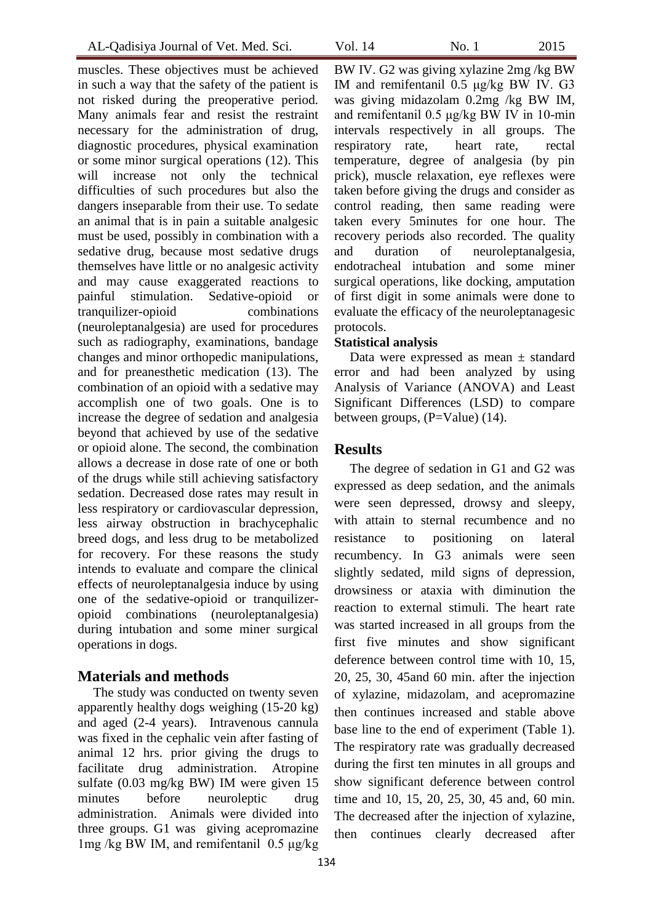muscles. These objectives must be achieved in such a way that the safety of the patient is not risked during the preoperative period. Many animals fear and resist the restraint necessary for the administration of drug, diagnostic procedures, physical examination or some minor surgical operations (12). This will increase not only the technical difficulties of such procedures but also the dangers inseparable from their use. To sedate an animal that is in pain a suitable analgesic must be used, possibly in combination with a sedative drug, because most sedative drugs themselves have little or no analgesic activity and may cause exaggerated reactions to painful stimulation. Sedative-opioid or tranquilizer-opioid combinations (neuroleptanalgesia) are used for procedures such as radiography, examinations, bandage changes and minor orthopedic manipulations, and for preanesthetic medication (13). The combination of an opioid with a sedative may accomplish one of two goals. One is to increase the degree of sedation and analgesia beyond that achieved by use of the sedative or opioid alone. The second, the combination allows a decrease in dose rate of one or both of the drugs while still achieving satisfactory sedation. Decreased dose rates may result in less respiratory or cardiovascular depression, less airway obstruction in brachycephalic breed dogs, and less drug to be metabolized for recovery. For these reasons the study intends to evaluate and compare the clinical effects of neuroleptanalgesia induce by using one of the sedative-opioid or tranquilizeropioid combinations (neuroleptanalgesia) during intubation and some miner surgical operations in dogs.

## **Materials and methods**

The study was conducted on twenty seven apparently healthy dogs weighing (15-20 kg) and aged (2-4 years). Intravenous cannula was fixed in the cephalic vein after fasting of animal 12 hrs. prior giving the drugs to facilitate drug administration. Atropine sulfate (0.03 mg/kg BW) IM were given 15 minutes before neuroleptic drug administration. Animals were divided into three groups. G1 was giving acepromazine 1mg /kg BW IM, and remifentanil 0.5 μg/kg

BW IV. G2 was giving xylazine 2mg /kg BW IM and remifentanil 0.5 μg/kg BW IV. G3 was giving midazolam 0.2mg /kg BW IM, and remifentanil 0.5 μg/kg BW IV in 10-min intervals respectively in all groups. The respiratory rate, heart rate, rectal temperature, degree of analgesia (by pin prick), muscle relaxation, eye reflexes were taken before giving the drugs and consider as control reading, then same reading were taken every 5minutes for one hour. The recovery periods also recorded. The quality and duration of neuroleptanalgesia, endotracheal intubation and some miner surgical operations, like docking, amputation of first digit in some animals were done to evaluate the efficacy of the neuroleptanagesic protocols.

#### **Statistical analysis**

Data were expressed as mean  $\pm$  standard error and had been analyzed by using Analysis of Variance (ANOVA) and Least Significant Differences (LSD) to compare between groups, (P=Value) (14).

## **Results**

The degree of sedation in G1 and G2 was expressed as deep sedation, and the animals were seen depressed, drowsy and sleepy, with attain to sternal recumbence and no resistance to positioning on lateral recumbency. In G3 animals were seen slightly sedated, mild signs of depression, drowsiness or ataxia with diminution the reaction to external stimuli. The heart rate was started increased in all groups from the first five minutes and show significant deference between control time with 10, 15, 20, 25, 30, 45and 60 min. after the injection of xylazine, midazolam, and acepromazine then continues increased and stable above base line to the end of experiment (Table 1). The respiratory rate was gradually decreased during the first ten minutes in all groups and show significant deference between control time and 10, 15, 20, 25, 30, 45 and, 60 min. The decreased after the injection of xylazine, then continues clearly decreased after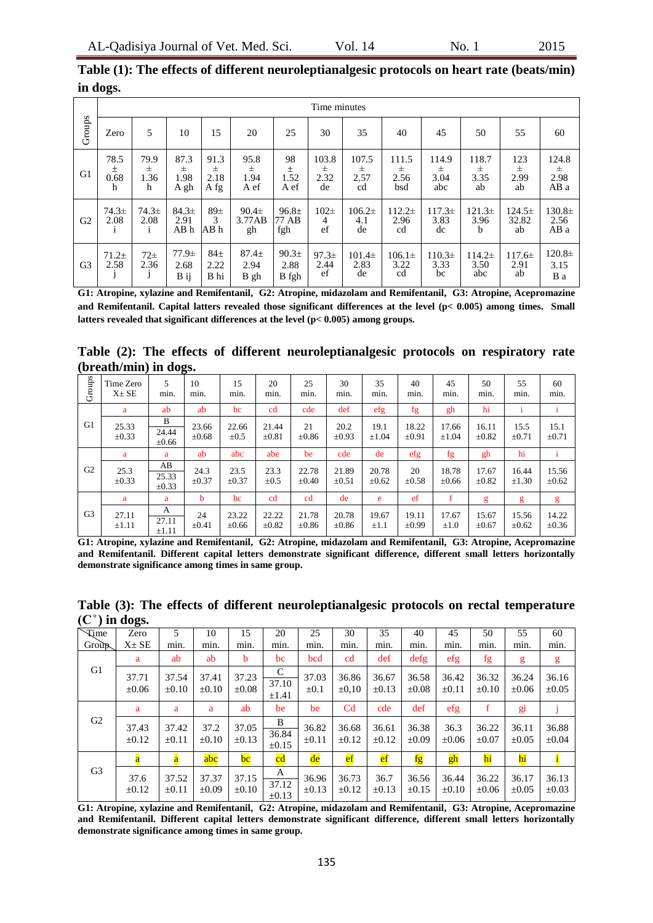|                |                        | Time minutes               |                           |                           |                                  |                                    |                          |                                 |                                  |                                  |                           |                           |                            |  |  |
|----------------|------------------------|----------------------------|---------------------------|---------------------------|----------------------------------|------------------------------------|--------------------------|---------------------------------|----------------------------------|----------------------------------|---------------------------|---------------------------|----------------------------|--|--|
| Groups         | Zero                   | 5                          | 10                        | 15                        | 20                               | 25                                 | 30                       | 35                              | 40                               | 45                               | 50                        | 55                        | 60                         |  |  |
| G <sub>1</sub> | 78.5<br>士<br>0.68<br>h | 79.9<br>$\pm$<br>1.36<br>h | 87.3<br>Ŧ<br>1.98<br>A gh | 91.3<br>士<br>2.18<br>A fg | 95.8<br>$_{\pm}$<br>1.94<br>A ef | 98<br>士<br>1.52<br>A ef            | 103.8<br>士<br>2.32<br>de | 107.5<br>$_{\pm}$<br>2.57<br>cd | 111.5<br>$_{\pm}$<br>2.56<br>bsd | 114.9<br>$_{\pm}$<br>3.04<br>abc | 118.7<br>士<br>3.35<br>ab  | 123<br>士<br>2.99<br>ab    | 124.8<br>士<br>2.98<br>AB a |  |  |
| G <sub>2</sub> | $74.3 \pm$<br>2.08     | $74.3\pm$<br>2.08          | 84.3±<br>2.91<br>ABh      | $89\pm$<br>3<br>AB h      | $90.4\pm$<br>3.77AB<br>gh        | 96.8 <sub>±</sub><br>77 AB<br>fgh  | $102\pm$<br>4<br>ef      | $106.2\pm$<br>4.1<br>de         | $112.2\pm$<br>2.96<br>cd         | $117.3\pm$<br>3.83<br>dc         | $121.3\pm$<br>3.96<br>b   | $124.5\pm$<br>32.82<br>ab | $130.8\pm$<br>2.56<br>AB a |  |  |
| G <sub>3</sub> | $71.2+$<br>2.58        | $72\pm$<br>2.36            | $77.9+$<br>2.68<br>B ij   | $84\pm$<br>2.22<br>B hi   | $87.4+$<br>2.94<br>B gh          | 90.3 <sub>±</sub><br>2.88<br>B fgh | 97.3±<br>2.44<br>ef      | $101.4\pm$<br>2.83<br>de        | $106.1\pm$<br>3.22<br>cd         | $110.3\pm$<br>3.33<br>bc         | $114.2\pm$<br>3.50<br>abc | $117.6\pm$<br>2.91<br>ab  | $120.8\pm$<br>3.15<br>B a  |  |  |

| Table (1): The effects of different neuroleptianalgesic protocols on heart rate (beats/min) |  |  |
|---------------------------------------------------------------------------------------------|--|--|
| in dogs.                                                                                    |  |  |

**G1: Atropine, xylazine and Remifentanil, G2: Atropine, midazolam and Remifentanil, G3: Atropine, Acepromazine and Remifentanil. Capital latters revealed those significant differences at the level (p< 0.005) among times. Small latters revealed that significant differences at the level (p< 0.005) among groups.**

**Table (2): The effects of different neuroleptianalgesic protocols on respiratory rate (breath/min) in dogs.** 

| Groups         | Time Zero<br>$X \pm SE$ | 5<br>min.                 | 10<br>min.          | 15<br>min.          | 20<br>min.          | 25<br>min.          | 30<br>min.          | 35<br>min.          | 40<br>min.                 | 45<br>min.          | 50<br>min.          | 55<br>min.          | 60<br>min.          |
|----------------|-------------------------|---------------------------|---------------------|---------------------|---------------------|---------------------|---------------------|---------------------|----------------------------|---------------------|---------------------|---------------------|---------------------|
|                | a                       | ab                        | ab                  | bc                  | cd                  | cde                 | def                 | efg                 | fg                         | gh                  | hi                  |                     |                     |
| G <sub>1</sub> | 25.33<br>$\pm 0.33$     | B<br>24.44<br>$\pm 0.66$  | 23.66<br>$\pm 0.68$ | 22.66<br>$\pm 0.5$  | 21.44<br>$\pm 0.81$ | 21<br>$\pm 0.86$    | 20.2<br>$\pm 0.93$  | 19.1<br>$\pm 1.04$  | 18.22<br>$\pm 0.91$        | 17.66<br>$\pm 1.04$ | 16.11<br>$\pm 0.82$ | 15.5<br>$\pm 0.71$  | 15.1<br>$\pm 0.71$  |
|                | a                       | a                         | ab                  | abc                 | abe                 | be                  | cde                 | de                  | $\left  \text{eff}\right $ | fg                  | gh                  | hi                  |                     |
| G <sub>2</sub> | 25.3<br>$\pm 0.33$      | AB<br>25.33<br>$\pm 0.33$ | 24.3<br>$\pm 0.37$  | 23.5<br>$\pm 0.37$  | 23.3<br>$\pm 0.5$   | 22.78<br>$\pm 0.40$ | 21.89<br>$\pm 0.51$ | 20.78<br>$\pm 0.62$ | 20<br>$\pm 0.58$           | 18.78<br>$\pm 0.66$ | 17.67<br>$\pm 0.82$ | 16.44<br>$\pm 1.30$ | 15.56<br>$\pm 0.62$ |
|                | a                       | a                         | b                   | bc                  | cd                  | cd                  | de                  | e                   | ef                         | f                   | g                   | g                   | g                   |
| G <sub>3</sub> | 27.11<br>$\pm 1.11$     | A<br>27.11<br>$\pm 1.11$  | 24<br>$\pm 0.41$    | 23.22<br>$\pm 0.66$ | 22.22<br>$\pm 0.82$ | 21.78<br>$\pm 0.86$ | 20.78<br>$\pm 0.86$ | 19.67<br>$\pm 1.1$  | 19.11<br>$\pm 0.99$        | 17.67<br>$\pm 1.0$  | 15.67<br>$\pm 0.67$ | 15.56<br>$\pm 0.62$ | 14.22<br>±0.36      |

**G1: Atropine, xylazine and Remifentanil, G2: Atropine, midazolam and Remifentanil, G3: Atropine, Acepromazine and Remifentanil. Different capital letters demonstrate significant difference, different small letters horizontally demonstrate significance among times in same group.**

|                             | ె                       |                     |                     |                                   |                          |                     |                     |                     |                     |                     |                     |                     |                     |
|-----------------------------|-------------------------|---------------------|---------------------|-----------------------------------|--------------------------|---------------------|---------------------|---------------------|---------------------|---------------------|---------------------|---------------------|---------------------|
| <b>Time</b><br><b>Group</b> | Zero<br>$X \pm SE$      | 5<br>min.           | 10<br>min.          | 15<br>min.                        | 20<br>min.               | 25<br>min.          | 30<br>min.          | 35<br>min.          | 40<br>mın.          | 45<br>min.          | 50<br>min.          | 55<br>min.          | 60<br>min.          |
|                             | a                       | ab                  | ab                  | b                                 | bc                       | bcd                 | cd                  | def                 | $\text{defg}$       | efg                 | fg                  | g                   | g                   |
| G1                          | 37.71<br>$\pm 0.06$     | 37.54<br>$\pm 0.10$ | 37.41<br>$\pm 0.10$ | 37.23<br>$\pm 0.08$               | C<br>37.10<br>$\pm 1.41$ | 37.03<br>$\pm 0.1$  | 36.86<br>$\pm 0.10$ | 36.67<br>$\pm 0.13$ | 36.58<br>$\pm 0.08$ | 36.42<br>$\pm 0.11$ | 36.32<br>$\pm 0.10$ | 36.24<br>$\pm 0.06$ | 36.16<br>$\pm 0.05$ |
|                             | a                       | a                   | a                   | ab                                | be                       | be                  | C <sub>d</sub>      | cde                 | def                 | efg                 | f                   | gi                  |                     |
| G <sub>2</sub>              | 37.43<br>$\pm 0.12$     | 37.42<br>$\pm 0.11$ | 37.2<br>$\pm 0.10$  | 37.05<br>$\pm 0.13$               | B<br>36.84<br>$\pm 0.15$ | 36.82<br>$\pm 0.11$ | 36.68<br>$\pm 0.12$ | 36.61<br>$\pm 0.12$ | 36.38<br>$\pm 0.09$ | 36.3<br>$\pm 0.06$  | 36.22<br>$\pm 0.07$ | 36.11<br>$\pm 0.05$ | 36.88<br>$\pm 0.04$ |
|                             | $\overline{\mathbf{a}}$ | a                   | abc                 | $\overline{\mathbf{b}\mathbf{c}}$ | cd                       | $d$ e               | $_{\rm ef}$         | $_{\rm ef}$         | fg                  | gh                  | hi                  | hi                  |                     |
| G <sub>3</sub>              | 37.6<br>$\pm 0.12$      | 37.52<br>$\pm 0.11$ | 37.37<br>$\pm 0.09$ | 37.15<br>$\pm 0.10$               | A<br>37.12<br>$\pm 0.13$ | 36.96<br>$\pm 0.13$ | 36.73<br>$\pm 0.12$ | 36.7<br>$\pm 0.13$  | 36.56<br>$\pm 0.15$ | 36.44<br>$\pm 0.10$ | 36.22<br>$\pm 0.06$ | 36.17<br>$\pm 0.05$ | 36.13<br>$\pm 0.03$ |

**Table (3): The effects of different neuroleptianalgesic protocols on rectal temperature**  $(C^{\circ})$  in dogs.

**G1: Atropine, xylazine and Remifentanil, G2: Atropine, midazolam and Remifentanil, G3: Atropine, Acepromazine and Remifentanil. Different capital letters demonstrate significant difference, different small letters horizontally demonstrate significance among times in same group.**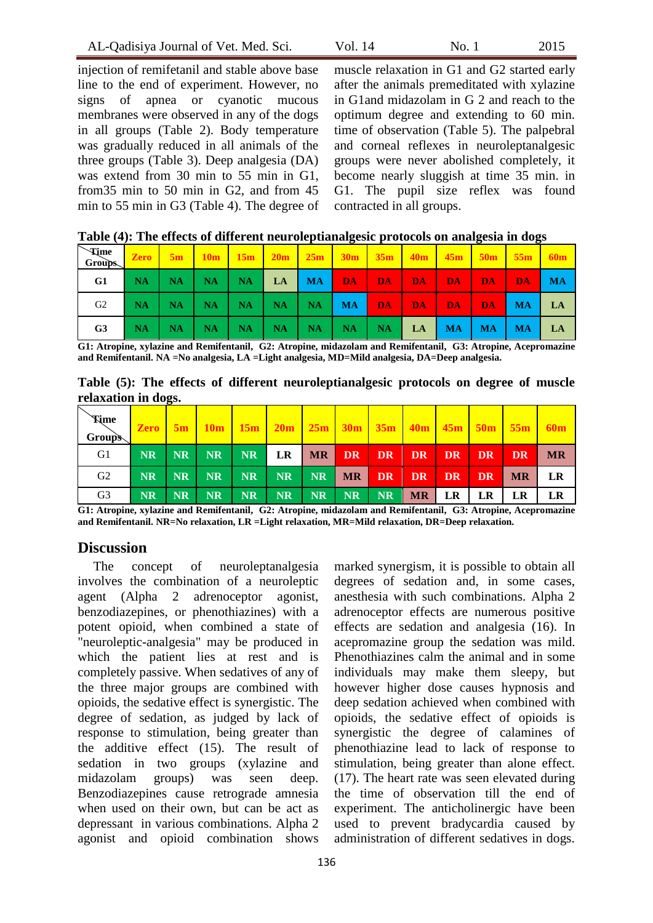| AL-Qadisiya Journal of Vet. Med. Sci. | Vol. 14 | No. 1 | 2015 |
|---------------------------------------|---------|-------|------|
|---------------------------------------|---------|-------|------|

injection of remifetanil and stable above base line to the end of experiment. However, no signs of apnea or cyanotic mucous membranes were observed in any of the dogs in all groups (Table 2). Body temperature was gradually reduced in all animals of the three groups (Table 3). Deep analgesia (DA) was extend from 30 min to 55 min in G1, from35 min to 50 min in G2, and from 45 min to 55 min in G3 (Table 4). The degree of

muscle relaxation in G1 and G2 started early after the animals premeditated with xylazine in G1and midazolam in G 2 and reach to the optimum degree and extending to 60 min. time of observation (Table 5). The palpebral and corneal reflexes in neuroleptanalgesic groups were never abolished completely, it become nearly sluggish at time 35 min. in G1. The pupil size reflex was found contracted in all groups.

| <b>Time</b><br>Groups. |             |                          |  | <b>Zero</b> 5m 10m 15m 20m 25m 30m 35m 40m 45m 50m 55m            |         |    |             |       |
|------------------------|-------------|--------------------------|--|-------------------------------------------------------------------|---------|----|-------------|-------|
| G1                     |             | $NA$   NA   NA   NA   LA |  | MA DA DA                                                          | DA DA I | DA | <b>DA</b>   | $-MA$ |
| G2                     |             |                          |  | NA   NA   NA   NA   NA   NA   MA <mark>  DA   DA   DA   DA</mark> |         |    | DA MAI      | LA    |
| G <sub>3</sub>         | $NA$   $NA$ |                          |  | NA   NA   NA   NA   NA   NA   LA   MA                             |         |    | $MA$   $MA$ | LA    |

| Table (4): The effects of different neuroleptianalgesic protocols on analgesia in dogs |  |  |
|----------------------------------------------------------------------------------------|--|--|

**G1: Atropine, xylazine and Remifentanil, G2: Atropine, midazolam and Remifentanil, G3: Atropine, Acepromazine and Remifentanil. NA =No analgesia, LA =Light analgesia, MD=Mild analgesia, DA=Deep analgesia.**

|                     |  |  | Table (5): The effects of different neuroleptianalgesic protocols on degree of muscle |  |  |  |
|---------------------|--|--|---------------------------------------------------------------------------------------|--|--|--|
| relaxation in dogs. |  |  |                                                                                       |  |  |  |

| <b>Time</b><br><b>Group's</b> | <b>Zero</b> | $-5m$     |           |    | $10m$   $15m$   $20m$   $25m$   $30m$   $35m$   $40m$   $45m$   $50m$ |      |       |                   |           |           |      | 55 <sub>m</sub> |           |
|-------------------------------|-------------|-----------|-----------|----|-----------------------------------------------------------------------|------|-------|-------------------|-----------|-----------|------|-----------------|-----------|
| G1                            | <b>NR</b>   | NR        | NR        |    | NR LR                                                                 |      |       | MR DR DR DR DR DR |           |           |      | DR.             | <b>MR</b> |
| G2                            | <b>NR</b>   | NR        | NR        |    | NR NR                                                                 |      | NR MR |                   | DR DR     | DR        | DR 1 | <b>MR</b>       | LR        |
| G <sub>3</sub>                | <b>NR</b>   | <b>NR</b> | <b>NR</b> | NR | $N_{\rm R}$                                                           | NR 7 | NR    | NR                | <b>MR</b> | <b>LR</b> | LR   | LR              | LR        |

**G1: Atropine, xylazine and Remifentanil, G2: Atropine, midazolam and Remifentanil, G3: Atropine, Acepromazine and Remifentanil. NR=No relaxation, LR =Light relaxation, MR=Mild relaxation, DR=Deep relaxation.** 

# **Discussion**

The concept of neuroleptanalgesia involves the combination of a neuroleptic agent (Alpha 2 adrenoceptor agonist, benzodiazepines, or phenothiazines) with a potent opioid, when combined a state of "neuroleptic-analgesia" may be produced in which the patient lies at rest and is completely passive. When sedatives of any of the three major groups are combined with opioids, the sedative effect is synergistic. The degree of sedation, as judged by lack of response to stimulation, being greater than the additive effect (15). The result of sedation in two groups (xylazine and midazolam groups) was seen deep. Benzodiazepines cause retrograde amnesia when used on their own, but can be act as depressant in various combinations. Alpha 2 agonist and opioid combination shows

marked synergism, it is possible to obtain all degrees of sedation and, in some cases, anesthesia with such combinations. Alpha 2 adrenoceptor effects are numerous positive effects are sedation and analgesia (16). In acepromazine group the sedation was mild. Phenothiazines calm the animal and in some individuals may make them sleepy, but however higher dose causes hypnosis and deep sedation achieved when combined with opioids, the sedative effect of opioids is synergistic the degree of calamines of phenothiazine lead to lack of response to stimulation, being greater than alone effect. (17). The heart rate was seen elevated during the time of observation till the end of experiment. The anticholinergic have been used to prevent bradycardia caused by administration of different sedatives in dogs.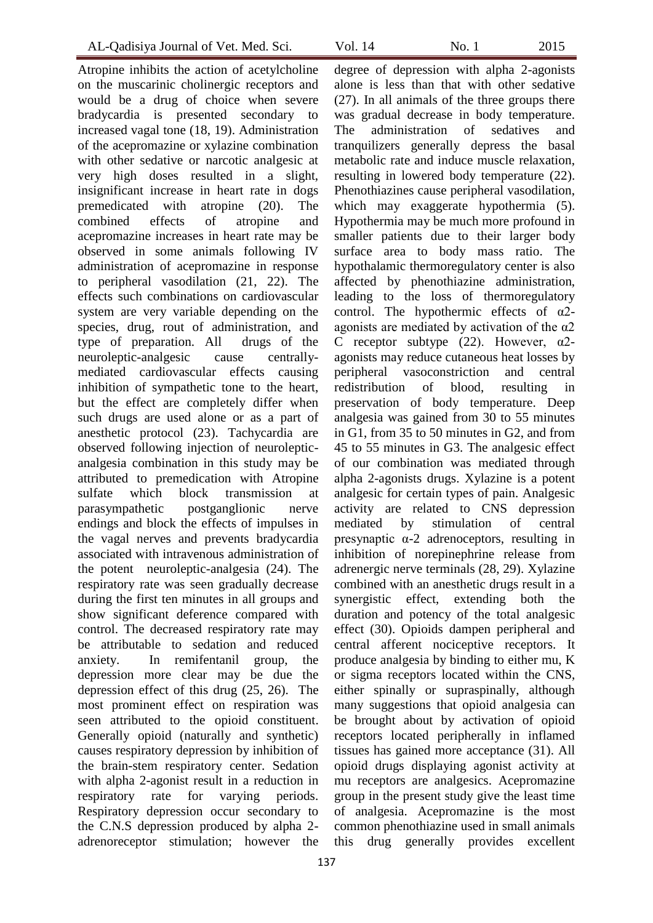Atropine inhibits the action of acetylcholine on the muscarinic cholinergic receptors and would be a drug of choice when severe bradycardia is presented secondary to increased vagal tone (18, 19). Administration of the acepromazine or xylazine combination with other sedative or narcotic analgesic at very high doses resulted in a slight, insignificant increase in heart rate in dogs premedicated with atropine (20). The combined effects of atropine and acepromazine increases in heart rate may be observed in some animals following IV administration of acepromazine in response to peripheral vasodilation (21, 22). The effects such combinations on cardiovascular system are very variable depending on the species, drug, rout of administration, and type of preparation. All drugs of the neuroleptic-analgesic cause centrallymediated cardiovascular effects causing inhibition of sympathetic tone to the heart, but the effect are completely differ when such drugs are used alone or as a part of anesthetic protocol (23). Tachycardia are observed following injection of neurolepticanalgesia combination in this study may be attributed to premedication with Atropine sulfate which block transmission at parasympathetic postganglionic nerve endings and block the effects of impulses in the vagal nerves and prevents bradycardia associated with intravenous administration of the potent neuroleptic-analgesia (24). The respiratory rate was seen gradually decrease during the first ten minutes in all groups and show significant deference compared with control. The decreased respiratory rate may be attributable to sedation and reduced anxiety. In remifentanil group, the depression more clear may be due the depression effect of this drug (25, 26). The most prominent effect on respiration was seen attributed to the opioid constituent. Generally opioid (naturally and synthetic) causes respiratory depression by inhibition of the brain-stem respiratory center. Sedation with alpha 2-agonist result in a reduction in respiratory rate for varying periods. Respiratory depression occur secondary to the C.N.S depression produced by alpha 2 adrenoreceptor stimulation; however the

degree of depression with alpha 2-agonists alone is less than that with other sedative (27). In all animals of the three groups there was gradual decrease in body temperature. The administration of sedatives and tranquilizers generally depress the basal metabolic rate and induce muscle relaxation, resulting in lowered body temperature (22). Phenothiazines cause peripheral vasodilation, which may exaggerate hypothermia (5). Hypothermia may be much more profound in smaller patients due to their larger body surface area to body mass ratio. The hypothalamic thermoregulatory center is also affected by phenothiazine administration, leading to the loss of thermoregulatory control. The hypothermic effects of α2 agonists are mediated by activation of the α2 C receptor subtype (22). However,  $\alpha$ 2agonists may reduce cutaneous heat losses by peripheral vasoconstriction and central redistribution of blood, resulting in preservation of body temperature. Deep analgesia was gained from 30 to 55 minutes in G1, from 35 to 50 minutes in G2, and from 45 to 55 minutes in G3. The analgesic effect of our combination was mediated through alpha 2-agonists drugs. Xylazine is a potent analgesic for certain types of pain. Analgesic activity are related to CNS depression mediated by stimulation of central presynaptic  $\alpha$ -2 adrenoceptors, resulting in inhibition of norepinephrine release from adrenergic nerve terminals (28, 29). Xylazine combined with an anesthetic drugs result in a synergistic effect, extending both the duration and potency of the total analgesic effect (30). Opioids dampen peripheral and central afferent nociceptive receptors. It produce analgesia by binding to either mu, K or sigma receptors located within the CNS, either spinally or supraspinally, although many suggestions that opioid analgesia can be brought about by activation of opioid receptors located peripherally in inflamed tissues has gained more acceptance (31). All opioid drugs displaying agonist activity at mu receptors are analgesics. Acepromazine group in the present study give the least time of analgesia. Acepromazine is the most common phenothiazine used in small animals this drug generally provides excellent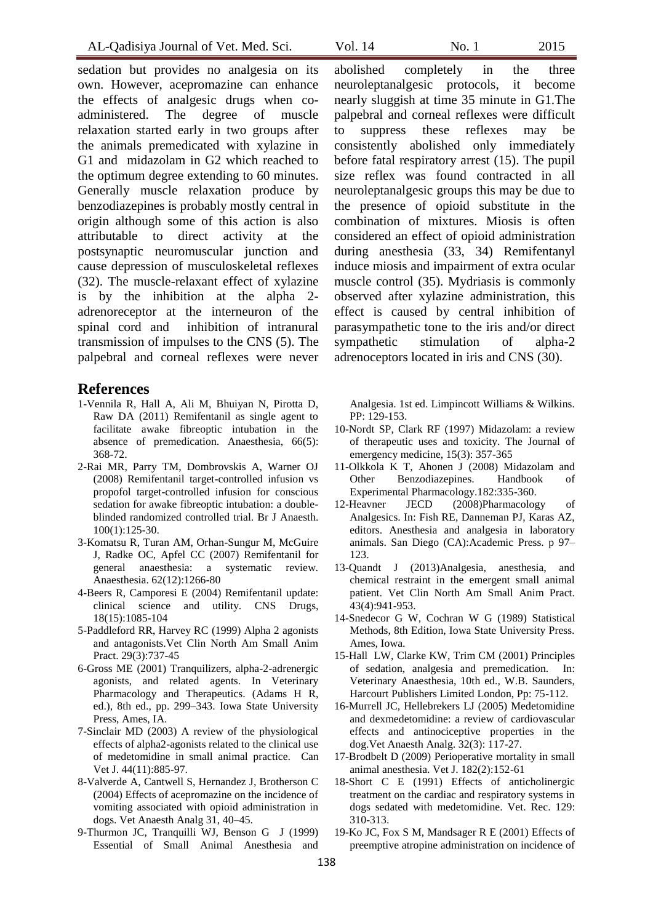sedation but provides no analgesia on its own. However, acepromazine can enhance the effects of analgesic drugs when coadministered. The degree of muscle relaxation started early in two groups after the animals premedicated with xylazine in G1 and midazolam in G2 which reached to the optimum degree extending to 60 minutes. Generally muscle relaxation produce by benzodiazepines is probably mostly central in origin although some of this action is also attributable to direct activity at the postsynaptic neuromuscular junction and cause depression of musculoskeletal reflexes (32). The muscle-relaxant effect of xylazine is by the inhibition at the alpha 2 adrenoreceptor at the interneuron of the spinal cord and inhibition of intranural transmission of impulses to the CNS (5). The palpebral and corneal reflexes were never

## **References**

- 1-Vennila R, Hall A, Ali M, Bhuiyan N, Pirotta D, Raw DA (2011) Remifentanil as single agent to facilitate awake fibreoptic intubation in the absence of premedication. Anaesthesia, 66(5): 368-72.
- 2-Rai MR, Parry TM, Dombrovskis A, Warner OJ (2008) Remifentanil target-controlled infusion vs propofol target-controlled infusion for conscious sedation for awake fibreoptic intubation: a doubleblinded randomized controlled trial. Br J Anaesth. 100(1):125-30.
- 3-Komatsu R, Turan AM, Orhan-Sungur M, McGuire J, Radke OC, Apfel CC (2007) Remifentanil for general anaesthesia: a systematic review. Anaesthesia. 62(12):1266-80
- 4-Beers R, Camporesi E (2004) Remifentanil update: clinical science and utility. CNS Drugs, 18(15):1085-104
- 5-Paddleford RR, Harvey RC (1999) Alpha 2 agonists and antagonists.Vet Clin North Am Small Anim Pract. 29(3):737-45
- 6-Gross ME (2001) Tranquilizers, alpha-2-adrenergic agonists, and related agents. In Veterinary Pharmacology and Therapeutics. (Adams H R, ed.), 8th ed., pp. 299–343. Iowa State University Press, Ames, IA.
- 7-Sinclair MD (2003) A review of the physiological effects of alpha2-agonists related to the clinical use of medetomidine in small animal practice. Can Vet J. 44(11):885-97.
- 8-Valverde A, Cantwell S, Hernandez J, Brotherson C (2004) Effects of acepromazine on the incidence of vomiting associated with opioid administration in dogs. Vet Anaesth Analg 31, 40–45.
- 9-Thurmon JC, Tranquilli WJ, Benson G J (1999) Essential of Small Animal Anesthesia and

abolished completely in the three neuroleptanalgesic protocols, it become nearly sluggish at time 35 minute in G1.The palpebral and corneal reflexes were difficult to suppress these reflexes may be consistently abolished only immediately before fatal respiratory arrest (15). The pupil size reflex was found contracted in all neuroleptanalgesic groups this may be due to the presence of opioid substitute in the combination of mixtures. Miosis is often considered an effect of opioid administration during anesthesia (33, 34) Remifentanyl induce miosis and impairment of extra ocular muscle control (35). Mydriasis is commonly observed after xylazine administration, this effect is caused by central inhibition of parasympathetic tone to the iris and/or direct sympathetic stimulation of alpha-2 adrenoceptors located in iris and CNS (30).

Analgesia. 1st ed. Limpincott Williams & Wilkins. PP: 129-153.

- 10-Nordt SP, Clark RF (1997) Midazolam: a review of therapeutic uses and toxicity. The Journal of emergency medicine, 15(3): 357-365
- 11-Olkkola K T, Ahonen J (2008) Midazolam and Other Benzodiazepines. Handbook of Experimental Pharmacology.182:335-360.
- 12-Heavner JECD (2008)Pharmacology of Analgesics. In: Fish RE, Danneman PJ, Karas AZ, editors. Anesthesia and analgesia in laboratory animals. San Diego (CA):Academic Press. p 97– 123.
- 13-Quandt J (2013)Analgesia, anesthesia, and chemical restraint in the emergent small animal patient. Vet Clin North Am Small Anim Pract. 43(4):941-953.
- 14-Snedecor G W, Cochran W G (1989) Statistical Methods, 8th Edition, Iowa State University Press. Ames, Iowa.
- 15-Hall LW, Clarke KW, Trim CM (2001) Principles of sedation, analgesia and premedication. In: Veterinary Anaesthesia, 10th ed., W.B. Saunders, Harcourt Publishers Limited London, Pp: 75-112.
- 16-Murrell JC, Hellebrekers LJ (2005) Medetomidine and dexmedetomidine: a review of cardiovascular effects and antinociceptive properties in the dog.Vet Anaesth Analg. 32(3): 117-27.
- 17-Brodbelt D (2009) Perioperative mortality in small animal anesthesia. Vet J. 182(2):152-61
- 18-Short C E (1991) Effects of anticholinergic treatment on the cardiac and respiratory systems in dogs sedated with medetomidine. Vet. Rec. 129: 310-313.
- 19-Ko JC, Fox S M, Mandsager R E (2001) Effects of preemptive atropine administration on incidence of